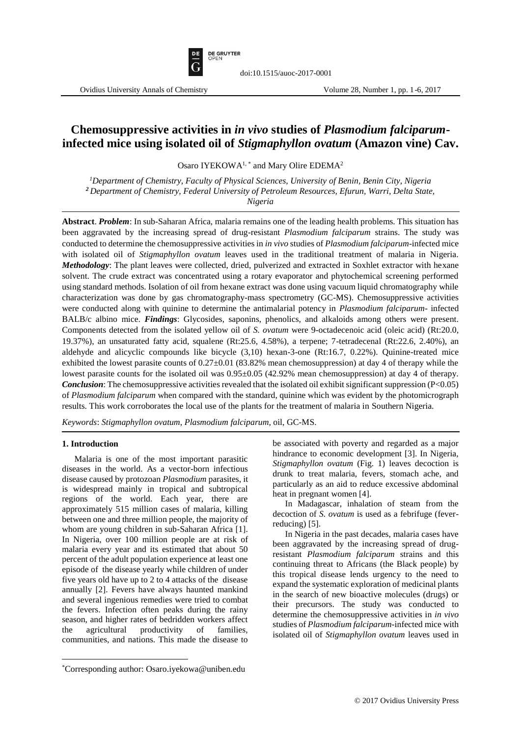

# **Chemosuppressive activities in** *in vivo* **studies of** *Plasmodium falciparum***infected mice using isolated oil of** *Stigmaphyllon ovatum* **(Amazon vine) Cav.**

Osaro IYEKOWA<sup>1,\*</sup> and Mary Olire EDEMA<sup>2</sup>

*<sup>1</sup>Department of Chemistry, Faculty of Physical Sciences, University of Benin, Benin City, Nigeria <sup>2</sup>Department of Chemistry, Federal University of Petroleum Resources, Efurun, Warri, Delta State, Nigeria*

**Abstract**. *Problem*: In sub-Saharan Africa, malaria remains one of the leading health problems. This situation has been aggravated by the increasing spread of drug-resistant *Plasmodium falciparum* strains. The study was conducted to determine the chemosuppressive activities in *in vivo* studies of *Plasmodium falciparum*-infected mice with isolated oil of *Stigmaphyllon ovatum* leaves used in the traditional treatment of malaria in Nigeria. *Methodology*: The plant leaves were collected, dried, pulverized and extracted in Soxhlet extractor with hexane solvent. The crude extract was concentrated using a rotary evaporator and phytochemical screening performed using standard methods. Isolation of oil from hexane extract was done using vacuum liquid chromatography while characterization was done by gas chromatography-mass spectrometry (GC-MS). Chemosuppressive activities were conducted along with quinine to determine the antimalarial potency in *Plasmodium falciparum*- infected BALB/c albino mice. *Findings*: Glycosides, saponins, phenolics, and alkaloids among others were present. Components detected from the isolated yellow oil of *S. ovatum* were 9-octadecenoic acid (oleic acid) (Rt:20.0, 19.37%), an unsaturated fatty acid, squalene (Rt:25.6, 4.58%), a terpene; 7-tetradecenal (Rt:22.6, 2.40%), an aldehyde and alicyclic compounds like bicycle (3,10) hexan-3-one (Rt:16.7, 0.22%). Quinine-treated mice exhibited the lowest parasite counts of  $0.27 \pm 0.01$  (83.82% mean chemosuppression) at day 4 of therapy while the lowest parasite counts for the isolated oil was 0.95±0.05 (42.92% mean chemosuppression) at day 4 of therapy. *Conclusion*: The chemosuppressive activities revealed that the isolated oil exhibit significant suppression (P<0.05) of *Plasmodium falciparum* when compared with the standard, quinine which was evident by the photomicrograph results. This work corroborates the local use of the plants for the treatment of malaria in Southern Nigeria.

*Keywords*: *Stigmaphyllon ovatum*, *Plasmodium falciparum,* oil, GC-MS.

#### **1. Introduction**

 $\overline{\phantom{a}}$ 

Malaria is one of the most important parasitic diseases in the world. As a vector-born infectious disease caused by protozoan *Plasmodium* parasites, it is widespread mainly in tropical and subtropical regions of the world. Each year, there are approximately 515 million cases of malaria, killing between one and three million people, the majority of whom are young children in sub-Saharan Africa [1]. In Nigeria, over 100 million people are at risk of malaria every year and its estimated that about 50 percent of the adult population experience at least one episode of the disease yearly while children of under five years old have up to 2 to 4 attacks of the disease annually [2]. Fevers have always haunted mankind and several ingenious remedies were tried to combat the fevers. Infection often peaks during the rainy season, and higher rates of bedridden workers affect the agricultural productivity of families, communities, and nations. This made the disease to

be associated with poverty and regarded as a major hindrance to economic development [3]. In Nigeria, *Stigmaphyllon ovatum* (Fig. 1) leaves decoction is drunk to treat malaria, fevers, stomach ache, and particularly as an aid to reduce excessive abdominal heat in pregnant women [4].

In Madagascar, inhalation of steam from the decoction of *S. ovatum* is used as a febrifuge (feverreducing) [5].

In Nigeria in the past decades, malaria cases have been aggravated by the increasing spread of drugresistant *Plasmodium falciparum* strains and this continuing threat to Africans (the Black people) by this tropical disease lends urgency to the need to expand the systematic exploration of medicinal plants in the search of new bioactive molecules (drugs) or their precursors. The study was conducted to determine the chemosuppressive activities in *in vivo* studies of *Plasmodium falciparum*-infected mice with isolated oil of *Stigmaphyllon ovatum* leaves used in

<sup>\*</sup>Corresponding author: Osaro.iyekowa@uniben.edu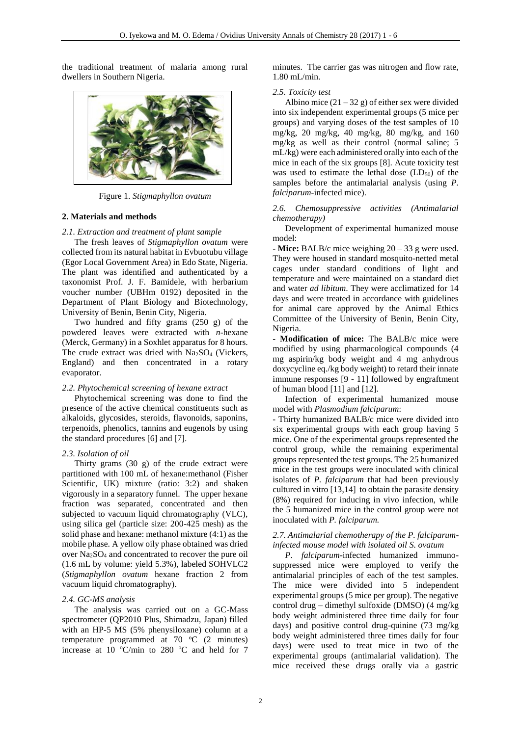the traditional treatment of malaria among rural dwellers in Southern Nigeria.



Figure 1. *Stigmaphyllon ovatum*

#### **2. Materials and methods**

## *2.1. Extraction and treatment of plant sample*

The fresh leaves of *Stigmaphyllon ovatum* were collected from its natural habitat in Evbuotubu village (Egor Local Government Area) in Edo State, Nigeria. The plant was identified and authenticated by a taxonomist Prof. J. F. Bamidele, with herbarium voucher number (UBHm 0192) deposited in the Department of Plant Biology and Biotechnology, University of Benin, Benin City, Nigeria.

Two hundred and fifty grams (250 g) of the powdered leaves were extracted with *n*-hexane (Merck, Germany) in a Soxhlet apparatus for 8 hours. The crude extract was dried with Na<sub>2</sub>SO<sub>4</sub> (Vickers, England) and then concentrated in a rotary evaporator.

#### *2.2. Phytochemical screening of hexane extract*

Phytochemical screening was done to find the presence of the active chemical constituents such as alkaloids, glycosides, steroids, flavonoids, saponins, terpenoids, phenolics, tannins and eugenols by using the standard procedures [6] and [7].

## *2.3. Isolation of oil*

Thirty grams (30 g) of the crude extract were partitioned with 100 mL of hexane:methanol (Fisher Scientific, UK) mixture (ratio: 3:2) and shaken vigorously in a separatory funnel. The upper hexane fraction was separated, concentrated and then subjected to vacuum liquid chromatography (VLC), using silica gel (particle size: 200-425 mesh) as the solid phase and hexane: methanol mixture (4:1) as the mobile phase. A yellow oily phase obtained was dried over Na2SO<sup>4</sup> and concentrated to recover the pure oil (1.6 mL by volume: yield 5.3%), labeled SOHVLC2 (*Stigmaphyllon ovatum* hexane fraction 2 from vacuum liquid chromatography).

## *2.4. GC-MS analysis*

The analysis was carried out on a GC-Mass spectrometer (QP2010 Plus, Shimadzu, Japan) filled with an HP-5 MS (5% phenysiloxane) column at a temperature programmed at  $70^{\circ}$ C (2 minutes) increase at 10  $\textdegree$ C/min to 280  $\textdegree$ C and held for 7

minutes. The carrier gas was nitrogen and flow rate, 1.80 mL/min.

## *2.5. Toxicity test*

Albino mice  $(21 – 32 g)$  of either sex were divided into six independent experimental groups (5 mice per groups) and varying doses of the test samples of 10 mg/kg, 20 mg/kg, 40 mg/kg, 80 mg/kg, and 160 mg/kg as well as their control (normal saline; 5 mL/kg) were each administered orally into each of the mice in each of the six groups [8]. Acute toxicity test was used to estimate the lethal dose  $(LD_{50})$  of the samples before the antimalarial analysis (using *P. falciparum*-infected mice).

## *2.6. Chemosuppressive activities (Antimalarial chemotherapy)*

Development of experimental humanized mouse model:

**- Mice:** BALB/c mice weighing 20 – 33 g were used. They were housed in standard mosquito-netted metal cages under standard conditions of light and temperature and were maintained on a standard diet and water *ad libitum*. They were acclimatized for 14 days and were treated in accordance with guidelines for animal care approved by the Animal Ethics Committee of the University of Benin, Benin City, Nigeria.

**- Modification of mice:** The BALB/c mice were modified by using pharmacological compounds (4 mg aspirin/kg body weight and 4 mg anhydrous doxycycline eq./kg body weight) to retard their innate immune responses [9 - 11] followed by engraftment of human blood [11] and [12].

Infection of experimental humanized mouse model with *Plasmodium falciparum*:

- Thirty humanized BALB/c mice were divided into six experimental groups with each group having 5 mice. One of the experimental groups represented the control group, while the remaining experimental groups represented the test groups. The 25 humanized mice in the test groups were inoculated with clinical isolates of *P. falciparum* that had been previously cultured in vitro [13,14] to obtain the parasite density (8%) required for inducing in vivo infection, while the 5 humanized mice in the control group were not inoculated with *P. falciparum.*

## *2.7. Antimalarial chemotherapy of the P. falciparuminfected mouse model with isolated oil S. ovatum*

*P*. *falciparum*-infected humanized immunosuppressed mice were employed to verify the antimalarial principles of each of the test samples. The mice were divided into 5 independent experimental groups (5 mice per group). The negative control drug – dimethyl sulfoxide (DMSO) (4 mg/kg body weight administered three time daily for four days) and positive control drug-quinine (73 mg/kg body weight administered three times daily for four days) were used to treat mice in two of the experimental groups (antimalarial validation). The mice received these drugs orally via a gastric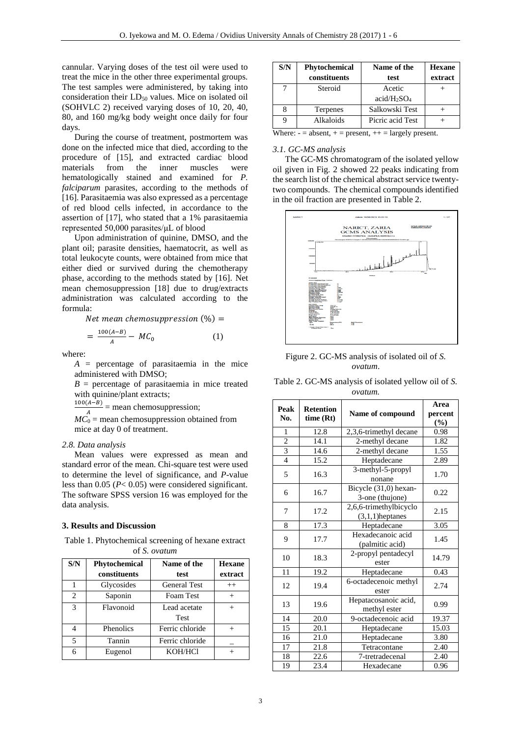cannular. Varying doses of the test oil were used to treat the mice in the other three experimental groups. The test samples were administered, by taking into consideration their LD<sub>50</sub> values. Mice on isolated oil (SOHVLC 2) received varying doses of 10, 20, 40, 80, and 160 mg/kg body weight once daily for four days.

During the course of treatment, postmortem was done on the infected mice that died, according to the procedure of [15], and extracted cardiac blood<br>materials from the inner muscles were from the inner muscles were hematologically stained and examined for *P. falciparum* parasites, according to the methods of [16]. Parasitaemia was also expressed as a percentage of red blood cells infected, in accordance to the assertion of [17], who stated that a 1% parasitaemia represented 50,000 parasites/μL of blood

Upon administration of quinine, DMSO, and the plant oil; parasite densities, haematocrit, as well as total leukocyte counts, were obtained from mice that either died or survived during the chemotherapy phase, according to the methods stated by [16]. Net mean chemosuppression [18] due to drug/extracts administration was calculated according to the formula:

Net mean chemosuppression  $(\%) =$ 

$$
=\frac{100(A-B)}{A}-MC_0\tag{1}
$$

where:

*A* = percentage of parasitaemia in the mice administered with DMSO;

 $B =$  percentage of parasitaemia in mice treated with quinine/plant extracts;

 $100(A-B)$  $\frac{A^{(-B)}}{A}$  = mean chemosuppression;

 $MC<sub>0</sub>$  = mean chemosuppression obtained from mice at day 0 of treatment.

#### *2.8. Data analysis*

Mean values were expressed as mean and standard error of the mean. Chi-square test were used to determine the level of significance, and *P*-value less than 0.05 (*P*< 0.05) were considered significant. The software SPSS version 16 was employed for the data analysis.

#### **3. Results and Discussion**

Table 1. Phytochemical screening of hexane extract of *S. ovatum*

| S/N            | Phytochemical    | Name of the         | <b>Hexane</b> |
|----------------|------------------|---------------------|---------------|
|                | constituents     | test                | extract       |
|                | Glycosides       | <b>General Test</b> | $++$          |
| $\mathfrak{D}$ | Saponin          | Foam Test           | $^{+}$        |
| 3              | Flavonoid        | Lead acetate        | $^+$          |
|                |                  | <b>Test</b>         |               |
|                | <b>Phenolics</b> | Ferric chloride     |               |
| 5              | Tannin           | Ferric chloride     |               |
| 6              | Eugenol          | KOH/HCl             |               |

| S/N           | Phytochemical<br>constituents | Name of the<br>test                 | <b>Hexane</b><br>extract |
|---------------|-------------------------------|-------------------------------------|--------------------------|
|               | Steroid                       | Acetic                              |                          |
|               |                               | acid/H <sub>2</sub> SO <sub>4</sub> |                          |
|               | Terpenes                      | Salkowski Test                      |                          |
|               | Alkaloids                     | Picric acid Test                    |                          |
| $\frac{1}{2}$ |                               |                                     |                          |

#### Where:  $-$  = absent,  $+$  = present,  $++$  = largely present.

#### *3.1. GC-MS analysis*

The GC-MS chromatogram of the isolated yellow oil given in Fig. 2 showed 22 peaks indicating from the search list of the chemical abstract service twentytwo compounds. The chemical compounds identified in the oil fraction are presented in Table 2.



Figure 2. GC-MS analysis of isolated oil of *S. ovatum*.

| Table 2. GC-MS analysis of isolated yellow oil of S. |  |
|------------------------------------------------------|--|
| ovatum.                                              |  |

| Peak<br>No.    | <b>Retention</b><br>time (Rt)                        | Name of compound                         | Area<br>percent<br>$(\frac{6}{6})$ |
|----------------|------------------------------------------------------|------------------------------------------|------------------------------------|
| 1              | 12.8                                                 | 2,3,6-trimethyl decane                   | 0.98                               |
| $\overline{2}$ | 14.1                                                 | 2-methyl decane                          | 1.82                               |
| $\overline{3}$ | 14.6                                                 | 2-methyl decane                          | 1.55                               |
| $\overline{4}$ | 15.2                                                 | Heptadecane                              | 2.89                               |
| 5              | 16.3                                                 | 3-methyl-5-propyl<br>nonane              | 1.70                               |
| 6              | 16.7                                                 | Bicycle (31,0) hexan-<br>3-one (thujone) | 0.22                               |
| 7              | 2,6,6-trimethylbicyclo<br>17.2<br>$(3,1,1)$ heptanes |                                          | 2.15                               |
| 8              | 17.3                                                 | Heptadecane                              | 3.05                               |
| 9              | 17.7                                                 | Hexadecanoic acid<br>(palmitic acid)     | 1.45                               |
| 10             | 18.3                                                 | 2-propyl pentadecyl<br>ester             | 14.79                              |
| 11             | 19.2                                                 | Heptadecane                              | 0.43                               |
| 12             | 19.4                                                 | 6-octadecenoic methyl<br>ester           | 2.74                               |
| 13             | 19.6                                                 | Hepatacosanoic acid,<br>methyl ester     | 0.99                               |
| 14             | 20.0                                                 | 9-octadecenoic acid                      | 19.37                              |
| 15             | 20.1                                                 | Heptadecane                              | 15.03                              |
| 16             | 21.0                                                 | Heptadecane                              | 3.80                               |
| 17             | 21.8                                                 | Tetracontane                             | 2.40                               |
| 18             | 22.6                                                 | 7-tretradecenal                          | 2.40                               |
| 19             | 23.4                                                 | Hexadecane                               | 0.96                               |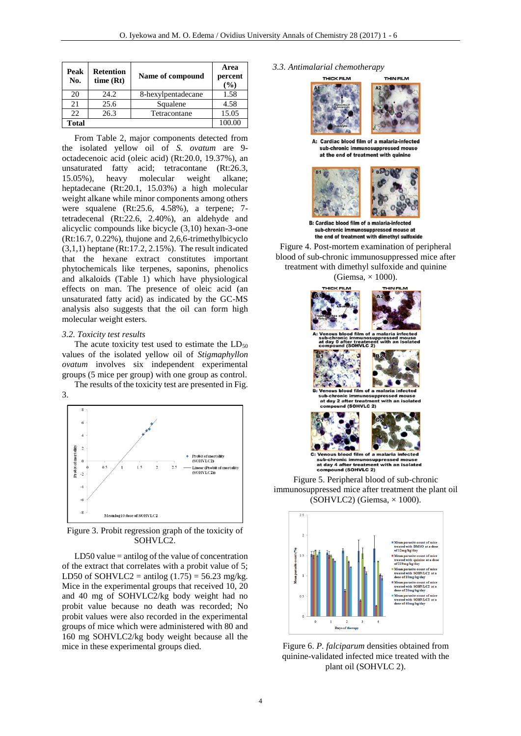| Peak<br>No.  | <b>Retention</b><br>time(Rt) | Name of compound   | Area<br>percent<br>(%) |
|--------------|------------------------------|--------------------|------------------------|
| 20           | 24.2.                        | 8-hexylpentadecane | 1.58                   |
| 21           | 25.6                         | Squalene           | 4.58                   |
| 22.          | 26.3                         | Tetracontane       | 15.05                  |
| <b>Total</b> |                              |                    | 100.00                 |

From Table 2, major components detected from the isolated yellow oil of *S. ovatum* are 9 octadecenoic acid (oleic acid) (Rt:20.0, 19.37%), an unsaturated fatty acid; tetracontane (Rt:26.3, 15.05%), heavy molecular weight alkane; heptadecane (Rt:20.1, 15.03%) a high molecular weight alkane while minor components among others were squalene (Rt:25.6, 4.58%), a terpene; 7 tetradecenal (Rt:22.6, 2.40%), an aldehyde and alicyclic compounds like bicycle (3,10) hexan-3-one (Rt:16.7, 0.22%), thujone and 2,6,6-trimethylbicyclo  $(3,1,1)$  heptane (Rt:17.2, 2.15%). The result indicated that the hexane extract constitutes important phytochemicals like terpenes, saponins, phenolics and alkaloids (Table 1) which have physiological effects on man. The presence of oleic acid (an unsaturated fatty acid) as indicated by the GC-MS analysis also suggests that the oil can form high molecular weight esters.

#### *3.2. Toxicity test results*

The acute toxicity test used to estimate the  $LD_{50}$ values of the isolated yellow oil of *Stigmaphyllon ovatum* involves six independent experimental groups (5 mice per group) with one group as control. The results of the toxicity test are presented in Fig.





Figure 3. Probit regression graph of the toxicity of SOHVLC2.

 $LD50$  value = antilog of the value of concentration of the extract that correlates with a probit value of 5; LD50 of SOHVLC2 = antilog  $(1.75)$  = 56.23 mg/kg. Mice in the experimental groups that received 10, 20 and 40 mg of SOHVLC2/kg body weight had no probit value because no death was recorded; No probit values were also recorded in the experimental groups of mice which were administered with 80 and 160 mg SOHVLC2/kg body weight because all the mice in these experimental groups died.

#### *3.3. Antimalarial chemotherapy*



A: Cardiac blood film of a malaria-infected sub-chronic immunosuppressed mouse at the end of treatment with quinine



sub-chronic immunosuppressed mouse at the end of treatment with dimethyl sulfoxide

Figure 4. Post-mortem examination of peripheral blood of sub-chronic immunosuppressed mice after treatment with dimethyl sulfoxide and quinine (Giemsa,  $\times$  1000).



Figure 5. Peripheral blood of sub-chronic immunosuppressed mice after treatment the plant oil  $(SOHVLC2)$  (Giemsa,  $\times$  1000).



Figure 6. *P. falciparum* densities obtained from quinine-validated infected mice treated with the plant oil (SOHVLC 2).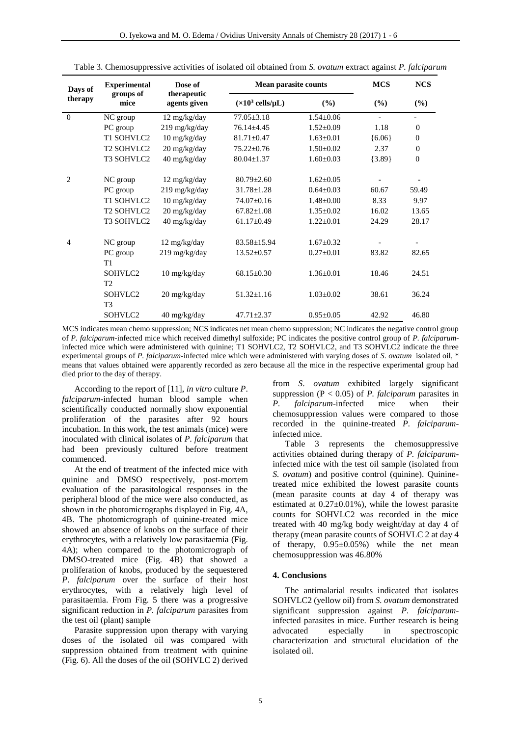| Days of        | <b>Experimental</b><br>groups of<br>mice | Dose of<br>therapeutic<br>agents given | <b>Mean parasite counts</b>               |                 | <b>MCS</b> | <b>NCS</b>               |
|----------------|------------------------------------------|----------------------------------------|-------------------------------------------|-----------------|------------|--------------------------|
| therapy        |                                          |                                        | $(\times 10^3 \text{ cells/}\mu\text{L})$ | $(\%)$          | $(\%)$     | $(\%)$                   |
| $\Omega$       | NC group                                 | 12 mg/kg/day                           | $77.05 \pm 3.18$                          | $1.54 \pm 0.06$ |            |                          |
|                | PC group                                 | 219 mg/kg/day                          | $76.14 \pm 4.45$                          | $1.52 \pm 0.09$ | 1.18       | $\Omega$                 |
|                | T1 SOHVLC2                               | 10 mg/kg/day                           | $81.71 \pm 0.47$                          | $1.63 \pm 0.01$ | ${6.06}$   | $\mathbf{0}$             |
|                | T <sub>2</sub> SOHVLC <sub>2</sub>       | 20 mg/kg/day                           | $75.22 \pm 0.76$                          | $1.50 \pm 0.02$ | 2.37       | $\mathbf{0}$             |
|                | T <sub>3</sub> SOHVLC <sub>2</sub>       | 40 mg/kg/day                           | $80.04 \pm 1.37$                          | $1.60 \pm 0.03$ | ${3.89}$   | $\mathbf{0}$             |
| $\overline{2}$ | NC group                                 | $12 \text{ mg/kg/day}$                 | $80.79 \pm 2.60$                          | $1.62 \pm 0.05$ |            |                          |
|                | PC group                                 | 219 mg/kg/day                          | $31.78 \pm 1.28$                          | $0.64 \pm 0.03$ | 60.67      | 59.49                    |
|                | T1 SOHVLC2                               | 10 mg/kg/day                           | 74.07±0.16                                | $1.48 \pm 0.00$ | 8.33       | 9.97                     |
|                | T <sub>2</sub> SOHVLC <sub>2</sub>       | $20 \frac{\text{mg}}{\text{kg}}$ day   | $67.82 \pm 1.08$                          | $1.35 \pm 0.02$ | 16.02      | 13.65                    |
|                | T <sub>3</sub> SOHVLC <sub>2</sub>       | 40 mg/kg/day                           | $61.17 \pm 0.49$                          | $1.22 \pm 0.01$ | 24.29      | 28.17                    |
| $\overline{4}$ | NC group                                 | 12 mg/kg/day                           | $83.58 \pm 15.94$                         | $1.67 + 0.32$   |            | $\overline{\phantom{0}}$ |
|                | PC group                                 | 219 mg/kg/day                          | $13.52 \pm 0.57$                          | $0.27 \pm 0.01$ | 83.82      | 82.65                    |
|                | T1                                       |                                        |                                           |                 |            |                          |
|                | SOHVLC <sub>2</sub>                      | $10$ mg/kg/day                         | $68.15 \pm 0.30$                          | $1.36 \pm 0.01$ | 18.46      | 24.51                    |
|                | T2                                       |                                        |                                           |                 |            |                          |
|                | SOHVLC <sub>2</sub>                      | 20 mg/kg/day                           | $51.32 \pm 1.16$                          | $1.03 \pm 0.02$ | 38.61      | 36.24                    |
|                | T <sub>3</sub>                           |                                        |                                           |                 |            |                          |
|                | SOHVLC2                                  | 40 mg/kg/day                           | $47.71 \pm 2.37$                          | $0.95 \pm 0.05$ | 42.92      | 46.80                    |

Table 3. Chemosuppressive activities of isolated oil obtained from *S. ovatum* extract against *P. falciparum*

MCS indicates mean chemo suppression; NCS indicates net mean chemo suppression; NC indicates the negative control group of *P. falciparum*-infected mice which received dimethyl sulfoxide; PC indicates the positive control group of *P. falciparum*infected mice which were administered with quinine; T1 SOHVLC2, T2 SOHVLC2, and T3 SOHVLC2 indicate the three experimental groups of *P. falciparum*-infected mice which were administered with varying doses of *S*. *ovatum* isolated oil, \* means that values obtained were apparently recorded as zero because all the mice in the respective experimental group had died prior to the day of therapy.

According to the report of [11], *in vitro* culture *P*. *falciparum*-infected human blood sample when scientifically conducted normally show exponential proliferation of the parasites after 92 hours incubation. In this work, the test animals (mice) were inoculated with clinical isolates of *P. falciparum* that had been previously cultured before treatment commenced.

At the end of treatment of the infected mice with quinine and DMSO respectively, post-mortem evaluation of the parasitological responses in the peripheral blood of the mice were also conducted, as shown in the photomicrographs displayed in Fig. 4A, 4B. The photomicrograph of quinine-treated mice showed an absence of knobs on the surface of their erythrocytes, with a relatively low parasitaemia (Fig. 4A); when compared to the photomicrograph of DMSO-treated mice (Fig. 4B) that showed a proliferation of knobs, produced by the sequestered *P*. *falciparum* over the surface of their host erythrocytes, with a relatively high level of parasitaemia. From Fig. 5 there was a progressive significant reduction in *P. falciparum* parasites from the test oil (plant) sample

Parasite suppression upon therapy with varying doses of the isolated oil was compared with suppression obtained from treatment with quinine (Fig. 6). All the doses of the oil (SOHVLC 2) derived from *S*. *ovatum* exhibited largely significant suppression (P < 0.05) of *P. falciparum* parasites in *P. falciparum*-infected mice when their chemosuppression values were compared to those recorded in the quinine-treated *P. falciparum*infected mice.

Table 3 represents the chemosuppressive activities obtained during therapy of *P. falciparum*infected mice with the test oil sample (isolated from *S. ovatum*) and positive control (quinine). Quininetreated mice exhibited the lowest parasite counts (mean parasite counts at day 4 of therapy was estimated at  $0.27 \pm 0.01\%$ ), while the lowest parasite counts for SOHVLC2 was recorded in the mice treated with 40 mg/kg body weight/day at day 4 of therapy (mean parasite counts of SOHVLC 2 at day 4 of therapy,  $0.95\pm0.05\%$  while the net mean chemosuppression was 46.80%

## **4. Conclusions**

The antimalarial results indicated that isolates SOHVLC2 (yellow oil) from *S. ovatum* demonstrated significant suppression against *P. falciparum*infected parasites in mice. Further research is being advocated especially in spectroscopic characterization and structural elucidation of the isolated oil.